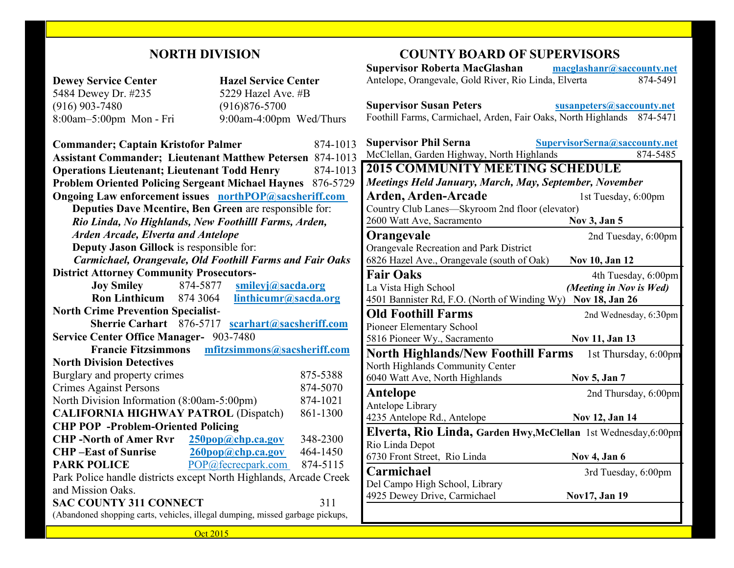### **NORTH DIVISION**

|                                                                               |                                                  | <b>Supervisor Roberta MacGlashan</b>                                   | macglashanr@saccounty.net     |
|-------------------------------------------------------------------------------|--------------------------------------------------|------------------------------------------------------------------------|-------------------------------|
| <b>Dewey Service Center</b>                                                   | <b>Hazel Service Center</b>                      | Antelope, Orangevale, Gold River, Rio Linda, Elverta                   | 874-5491                      |
| 5484 Dewey Dr. #235                                                           | 5229 Hazel Ave. #B                               |                                                                        |                               |
| $(916)$ 903-7480                                                              | $(916)876 - 5700$                                | <b>Supervisor Susan Peters</b>                                         | susanpeters@saccounty.net     |
| 8:00am-5:00pm Mon - Fri                                                       | 9:00am-4:00pm Wed/Thurs                          | Foothill Farms, Carmichael, Arden, Fair Oaks, North Highlands 874-5471 |                               |
|                                                                               |                                                  |                                                                        |                               |
| <b>Commander; Captain Kristofor Palmer</b>                                    | 874-1013                                         | <b>Supervisor Phil Serna</b>                                           | SupervisorSerna@saccounty.net |
| <b>Assistant Commander; Lieutenant Matthew Petersen 874-1013</b>              |                                                  | McClellan, Garden Highway, North Highlands                             | $874 - 5485$                  |
| <b>Operations Lieutenant; Lieutenant Todd Henry</b><br>874-1013               |                                                  | <b>2015 COMMUNITY MEETING SCHEDULE</b>                                 |                               |
| <b>Problem Oriented Policing Sergeant Michael Haynes 876-5729</b>             |                                                  | Meetings Held January, March, May, September, November                 |                               |
| <b>Ongoing Law enforcement issues</b> northPOP@sacsheriff.com                 |                                                  | Arden, Arden-Arcade                                                    | 1st Tuesday, 6:00pm           |
| Deputies Dave Mcentire, Ben Green are responsible for:                        |                                                  | Country Club Lanes-Skyroom 2nd floor (elevator)                        |                               |
| Rio Linda, No Highlands, New Foothilll Farms, Arden,                          |                                                  | 2600 Watt Ave, Sacramento                                              | Nov 3, Jan 5                  |
| <b>Arden Arcade, Elverta and Antelope</b>                                     |                                                  | Orangevale                                                             | 2nd Tuesday, 6:00pm           |
| Deputy Jason Gillock is responsible for:                                      |                                                  | Orangevale Recreation and Park District                                |                               |
| <b>Carmichael, Orangevale, Old Foothill Farms and Fair Oaks</b>               |                                                  | 6826 Hazel Ave., Orangevale (south of Oak)                             | Nov 10, Jan 12                |
| <b>District Attorney Community Prosecutors-</b>                               |                                                  | <b>Fair Oaks</b>                                                       | 4th Tuesday, 6:00pm           |
| <b>Joy Smiley</b><br>874-5877                                                 | smileyj@sacda.org                                | La Vista High School                                                   | (Meeting in Nov is Wed)       |
| <b>Ron Linthicum</b><br>874 3064                                              | linthicumr@sacda.org                             | 4501 Bannister Rd, F.O. (North of Winding Wy) Nov 18, Jan 26           |                               |
| <b>North Crime Prevention Specialist-</b>                                     |                                                  | <b>Old Foothill Farms</b>                                              | 2nd Wednesday, 6:30pm         |
|                                                                               | Sherrie Carhart 876-5717 scarhart@sacsheriff.com | Pioneer Elementary School                                              |                               |
| <b>Service Center Office Manager- 903-7480</b>                                |                                                  | 5816 Pioneer Wy., Sacramento                                           | Nov 11, Jan 13                |
| <b>Francie Fitzsimmons</b>                                                    | mfitzsimmons@sacsheriff.com                      | <b>North Highlands/New Foothill Farms</b> 1st Thursday, 6:00pm         |                               |
| <b>North Division Detectives</b>                                              |                                                  | North Highlands Community Center                                       |                               |
| Burglary and property crimes                                                  | 875-5388                                         | 6040 Watt Ave, North Highlands                                         | Nov 5, Jan 7                  |
| <b>Crimes Against Persons</b>                                                 | 874-5070                                         | Antelope                                                               | 2nd Thursday, 6:00pm          |
| North Division Information (8:00am-5:00pm)                                    | 874-1021                                         | Antelope Library                                                       |                               |
| <b>CALIFORNIA HIGHWAY PATROL (Dispatch)</b>                                   | 861-1300                                         | 4235 Antelope Rd., Antelope                                            | Nov 12, Jan 14                |
| <b>CHP POP</b> -Problem-Oriented Policing                                     |                                                  | Elverta, Rio Linda, Garden Hwy, McClellan 1st Wednesday, 6:00pm        |                               |
| <b>CHP-North of Amer Rvr</b>                                                  | 250pop@chp.ca.gov<br>348-2300                    | Rio Linda Depot                                                        |                               |
| <b>CHP-East of Sunrise</b>                                                    | 260pop@chp.ca.gov<br>464-1450                    | 6730 Front Street, Rio Linda                                           | Nov 4, Jan 6                  |
| <b>PARK POLICE</b>                                                            | POP@fecrecpark.com<br>874-5115                   | Carmichael                                                             | 3rd Tuesday, 6:00pm           |
| Park Police handle districts except North Highlands, Arcade Creek             |                                                  | Del Campo High School, Library                                         |                               |
| and Mission Oaks.                                                             |                                                  | 4925 Dewey Drive, Carmichael                                           | Nov17, Jan 19                 |
| <b>SAC COUNTY 311 CONNECT</b>                                                 | 311                                              |                                                                        |                               |
| (Abandoned shopping carts, vehicles, illegal dumping, missed garbage pickups, |                                                  |                                                                        |                               |
| Oct 2015                                                                      |                                                  |                                                                        |                               |

**COUNTY BOARD OF SUPERVISORS**